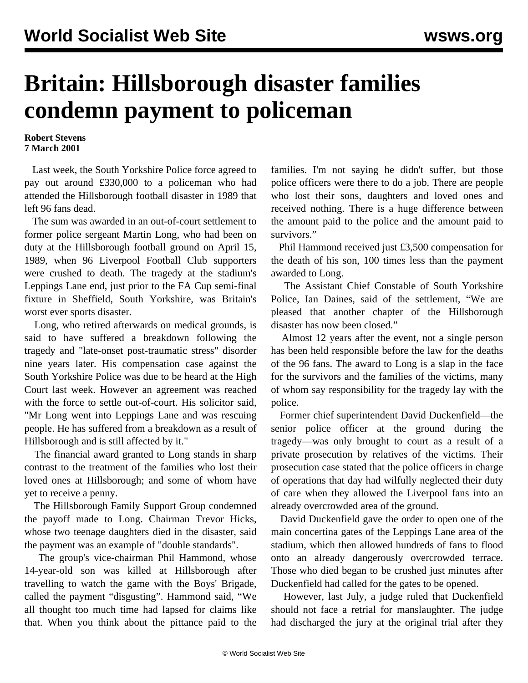## **Britain: Hillsborough disaster families condemn payment to policeman**

## **Robert Stevens 7 March 2001**

 Last week, the South Yorkshire Police force agreed to pay out around £330,000 to a policeman who had attended the Hillsborough football disaster in 1989 that left 96 fans dead.

 The sum was awarded in an out-of-court settlement to former police sergeant Martin Long, who had been on duty at the Hillsborough football ground on April 15, 1989, when 96 Liverpool Football Club supporters were crushed to death. The tragedy at the stadium's Leppings Lane end, just prior to the FA Cup semi-final fixture in Sheffield, South Yorkshire, was Britain's worst ever sports disaster.

 Long, who retired afterwards on medical grounds, is said to have suffered a breakdown following the tragedy and "late-onset post-traumatic stress" disorder nine years later. His compensation case against the South Yorkshire Police was due to be heard at the High Court last week. However an agreement was reached with the force to settle out-of-court. His solicitor said, "Mr Long went into Leppings Lane and was rescuing people. He has suffered from a breakdown as a result of Hillsborough and is still affected by it."

 The financial award granted to Long stands in sharp contrast to the treatment of the families who lost their loved ones at Hillsborough; and some of whom have yet to receive a penny.

 The Hillsborough Family Support Group condemned the payoff made to Long. Chairman Trevor Hicks, whose two teenage daughters died in the disaster, said the payment was an example of "double standards".

 The group's vice-chairman Phil Hammond, whose 14-year-old son was killed at Hillsborough after travelling to watch the game with the Boys' Brigade, called the payment "disgusting". Hammond said, "We all thought too much time had lapsed for claims like that. When you think about the pittance paid to the families. I'm not saying he didn't suffer, but those police officers were there to do a job. There are people who lost their sons, daughters and loved ones and received nothing. There is a huge difference between the amount paid to the police and the amount paid to survivors."

 Phil Hammond received just £3,500 compensation for the death of his son, 100 times less than the payment awarded to Long.

 The Assistant Chief Constable of South Yorkshire Police, Ian Daines, said of the settlement, "We are pleased that another chapter of the Hillsborough disaster has now been closed."

 Almost 12 years after the event, not a single person has been held responsible before the law for the deaths of the 96 fans. The award to Long is a slap in the face for the survivors and the families of the victims, many of whom say responsibility for the tragedy lay with the police.

 Former chief superintendent David Duckenfield—the senior police officer at the ground during the tragedy—was only brought to court as a result of a private prosecution by relatives of the victims. Their prosecution case stated that the police officers in charge of operations that day had wilfully neglected their duty of care when they allowed the Liverpool fans into an already overcrowded area of the ground.

 David Duckenfield gave the order to open one of the main concertina gates of the Leppings Lane area of the stadium, which then allowed hundreds of fans to flood onto an already dangerously overcrowded terrace. Those who died began to be crushed just minutes after Duckenfield had called for the gates to be opened.

 However, last July, a judge ruled that Duckenfield should not face a retrial for manslaughter. The judge had discharged the jury at the original trial after they